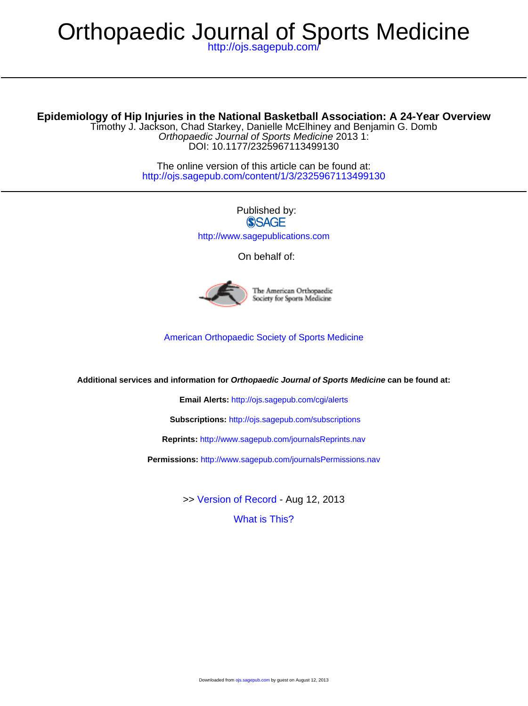# Orthopaedic Journal of Sports Medicine

<http://ojs.sagepub.com/>

#### **Epidemiology of Hip Injuries in the National Basketball Association: A 24-Year Overview**

DOI: 10.1177/2325967113499130 Orthopaedic Journal of Sports Medicine 2013 1: Timothy J. Jackson, Chad Starkey, Danielle McElhiney and Benjamin G. Domb

> <http://ojs.sagepub.com/content/1/3/2325967113499130> The online version of this article can be found at:

> > Published by: **SSAGE** <http://www.sagepublications.com>

> > > On behalf of:



The American Orthopaedic Society for Sports Medicine

[American Orthopaedic Society of Sports Medicine](http://www.sportsmed.org/)

**Additional services and information for Orthopaedic Journal of Sports Medicine can be found at:**

**Email Alerts:** <http://ojs.sagepub.com/cgi/alerts>

**Subscriptions:** <http://ojs.sagepub.com/subscriptions>

**Reprints:** <http://www.sagepub.com/journalsReprints.nav>

**Permissions:** <http://www.sagepub.com/journalsPermissions.nav>

>> [Version of Record -](http://ojs.sagepub.com/content/1/3/2325967113499130.full.pdf) Aug 12, 2013

[What is This?](http://online.sagepub.com/site/sphelp/vorhelp.xhtml)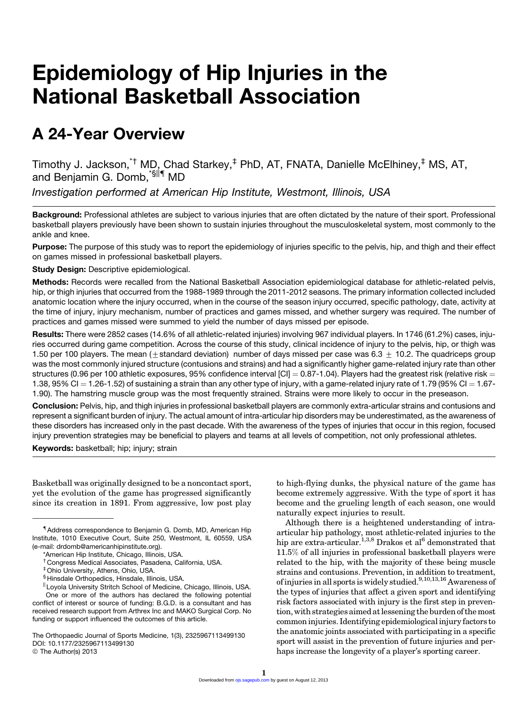## Epidemiology of Hip Injuries in the National Basketball Association

### A 24-Year Overview

Timothy J. Jackson,<sup>\*†</sup> MD, Chad Starkey,<sup>‡</sup> PhD, AT, FNATA, Danielle McElhiney,<sup>‡</sup> MS, AT, and Benjamin G. Domb,<sup>\*§||¶</sup> MD

Investigation performed at American Hip Institute, Westmont, Illinois, USA

Background: Professional athletes are subject to various injuries that are often dictated by the nature of their sport. Professional basketball players previously have been shown to sustain injuries throughout the musculoskeletal system, most commonly to the ankle and knee.

Purpose: The purpose of this study was to report the epidemiology of injuries specific to the pelvis, hip, and thigh and their effect on games missed in professional basketball players.

Study Design: Descriptive epidemiological.

Methods: Records were recalled from the National Basketball Association epidemiological database for athletic-related pelvis, hip, or thigh injuries that occurred from the 1988-1989 through the 2011-2012 seasons. The primary information collected included anatomic location where the injury occurred, when in the course of the season injury occurred, specific pathology, date, activity at the time of injury, injury mechanism, number of practices and games missed, and whether surgery was required. The number of practices and games missed were summed to yield the number of days missed per episode.

Results: There were 2852 cases (14.6% of all athletic-related injuries) involving 967 individual players. In 1746 (61.2%) cases, injuries occurred during game competition. Across the course of this study, clinical incidence of injury to the pelvis, hip, or thigh was 1.50 per 100 players. The mean ( $\pm$ standard deviation) number of days missed per case was 6.3  $\pm$  10.2. The quadriceps group was the most commonly injured structure (contusions and strains) and had a significantly higher game-related injury rate than other structures (0.96 per 100 athletic exposures, 95% confidence interval  $|Cl| = 0.87$ -1.04). Players had the greatest risk (relative risk = 1.38, 95% CI = 1.26-1.52) of sustaining a strain than any other type of injury, with a game-related injury rate of 1.79 (95% CI = 1.67-1.90). The hamstring muscle group was the most frequently strained. Strains were more likely to occur in the preseason.

Conclusion: Pelvis, hip, and thigh injuries in professional basketball players are commonly extra-articular strains and contusions and represent a significant burden of injury. The actual amount of intra-articular hip disorders may be underestimated, as the awareness of these disorders has increased only in the past decade. With the awareness of the types of injuries that occur in this region, focused injury prevention strategies may be beneficial to players and teams at all levels of competition, not only professional athletes.

Keywords: basketball; hip; injury; strain

Basketball was originally designed to be a noncontact sport, yet the evolution of the game has progressed significantly since its creation in 1891. From aggressive, low post play

© The Author(s) 2013

to high-flying dunks, the physical nature of the game has become extremely aggressive. With the type of sport it has become and the grueling length of each season, one would naturally expect injuries to result.

Although there is a heightened understanding of intraarticular hip pathology, most athletic-related injuries to the hip are extra-articular.<sup>1,3,8</sup> Drakos et al<sup>6</sup> demonstrated that 11.5% of all injuries in professional basketball players were related to the hip, with the majority of these being muscle strains and contusions. Prevention, in addition to treatment, of injuries in all sports is widely studied.9,10,13,16 Awareness of the types of injuries that affect a given sport and identifying risk factors associated with injury is the first step in prevention, with strategies aimed at lessening the burden of themost common injuries. Identifying epidemiological injury factors to the anatomic joints associated with participating in a specific sport will assist in the prevention of future injuries and perhaps increase the longevity of a player's sporting career.

<sup>{</sup>Address correspondence to Benjamin G. Domb, MD, American Hip Institute, 1010 Executive Court, Suite 250, Westmont, IL 60559, USA (e-mail: drdomb@americanhipinstitute.org).

<sup>\*</sup>American Hip Institute, Chicago, Illinois, USA.

<sup>†</sup> Congress Medical Associates, Pasadena, California, USA.

<sup>‡</sup> Ohio University, Athens, Ohio, USA.

<sup>§</sup> Hinsdale Orthopedics, Hinsdale, Illinois, USA.

<sup>||</sup> Loyola University Stritch School of Medicine, Chicago, Illinois, USA.

One or more of the authors has declared the following potential conflict of interest or source of funding: B.G.D. is a consultant and has received research support from Arthrex Inc and MAKO Surgical Corp. No funding or support influenced the outcomes of this article.

The Orthopaedic Journal of Sports Medicine, 1(3), 2325967113499130 DOI: 10.1177/2325967113499130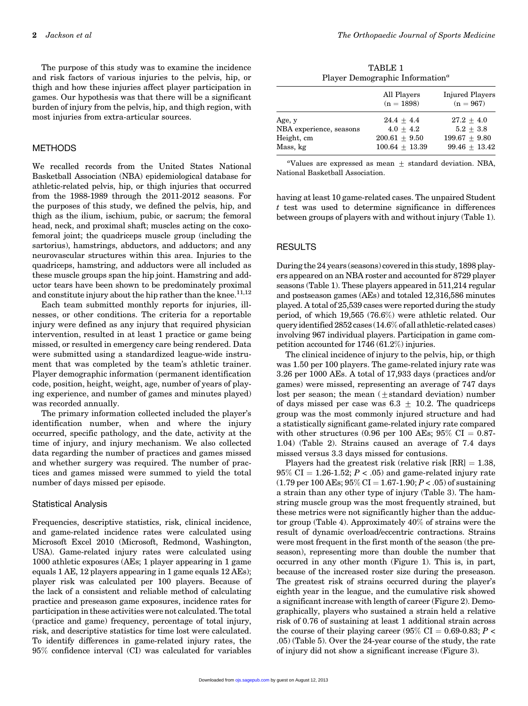The purpose of this study was to examine the incidence and risk factors of various injuries to the pelvis, hip, or thigh and how these injuries affect player participation in games. Our hypothesis was that there will be a significant burden of injury from the pelvis, hip, and thigh region, with most injuries from extra-articular sources.

#### METHODS

We recalled records from the United States National Basketball Association (NBA) epidemiological database for athletic-related pelvis, hip, or thigh injuries that occurred from the 1988-1989 through the 2011-2012 seasons. For the purposes of this study, we defined the pelvis, hip, and thigh as the ilium, ischium, pubic, or sacrum; the femoral head, neck, and proximal shaft; muscles acting on the coxofemoral joint; the quadriceps muscle group (including the sartorius), hamstrings, abductors, and adductors; and any neurovascular structures within this area. Injuries to the quadriceps, hamstring, and adductors were all included as these muscle groups span the hip joint. Hamstring and adductor tears have been shown to be predominately proximal and constitute injury about the hip rather than the knee.<sup>11,12</sup>

Each team submitted monthly reports for injuries, illnesses, or other conditions. The criteria for a reportable injury were defined as any injury that required physician intervention, resulted in at least 1 practice or game being missed, or resulted in emergency care being rendered. Data were submitted using a standardized league-wide instrument that was completed by the team's athletic trainer. Player demographic information (permanent identification code, position, height, weight, age, number of years of playing experience, and number of games and minutes played) was recorded annually.

The primary information collected included the player's identification number, when and where the injury occurred, specific pathology, and the date, activity at the time of injury, and injury mechanism. We also collected data regarding the number of practices and games missed and whether surgery was required. The number of practices and games missed were summed to yield the total number of days missed per episode.

#### Statistical Analysis

Frequencies, descriptive statistics, risk, clinical incidence, and game-related incidence rates were calculated using Microsoft Excel 2010 (Microsoft, Redmond, Washington, USA). Game-related injury rates were calculated using 1000 athletic exposures (AEs; 1 player appearing in 1 game equals 1 AE, 12 players appearing in 1 game equals 12 AEs); player risk was calculated per 100 players. Because of the lack of a consistent and reliable method of calculating practice and preseason game exposures, incidence rates for participation in these activities were not calculated. The total (practice and game) frequency, percentage of total injury, risk, and descriptive statistics for time lost were calculated. To identify differences in game-related injury rates, the 95% confidence interval (CI) was calculated for variables

TABLE 1 Player Demographic Information<sup> $a$ </sup>

|                         | All Players<br>$(n = 1898)$ | <b>Injured Players</b><br>$(n = 967)$ |
|-------------------------|-----------------------------|---------------------------------------|
| Age, y                  | $24.4 + 4.4$                | $27.2 + 4.0$                          |
| NBA experience, seasons | $4.0 + 4.2$                 | $5.2 + 3.8$                           |
| Height, cm              | $200.61 + 9.50$             | $199.67 + 9.80$                       |
| Mass, kg                | $100.64 + 13.39$            | $99.46 + 13.42$                       |

"Values are expressed as mean  $\pm$  standard deviation. NBA, National Basketball Association.

having at least 10 game-related cases. The unpaired Student  $t$  test was used to determine significance in differences between groups of players with and without injury (Table 1).

#### RESULTS

During the 24 years (seasons) covered in this study, 1898 players appeared on an NBA roster and accounted for 8729 player seasons (Table 1). These players appeared in 511,214 regular and postseason games (AEs) and totaled 12,316,586 minutes played. A total of 25,539 cases were reported during the study period, of which 19,565 (76.6%) were athletic related. Our query identified 2852 cases (14.6% of all athletic-related cases) involving 967 individual players. Participation in game competition accounted for 1746 (61.2%) injuries.

The clinical incidence of injury to the pelvis, hip, or thigh was 1.50 per 100 players. The game-related injury rate was 3.26 per 1000 AEs. A total of 17,933 days (practices and/or games) were missed, representing an average of 747 days lost per season; the mean  $($   $\pm$  standard deviation) number of days missed per case was  $6.3 \pm 10.2$ . The quadriceps group was the most commonly injured structure and had a statistically significant game-related injury rate compared with other structures (0.96 per 100 AEs;  $95\%$  CI = 0.87-1.04) (Table 2). Strains caused an average of 7.4 days missed versus 3.3 days missed for contusions.

Players had the greatest risk (relative risk  $[RR] = 1.38$ ,  $95\%$  CI = 1.26-1.52; P < .05) and game-related injury rate  $(1.79 \text{ per } 100 \text{ AES}; 95\% \text{ CI} = 1.67 - 1.90; P < .05) \text{ of sustainability}$ a strain than any other type of injury (Table 3). The hamstring muscle group was the most frequently strained, but these metrics were not significantly higher than the adductor group (Table 4). Approximately 40% of strains were the result of dynamic overload/eccentric contractions. Strains were most frequent in the first month of the season (the preseason), representing more than double the number that occurred in any other month (Figure 1). This is, in part, because of the increased roster size during the preseason. The greatest risk of strains occurred during the player's eighth year in the league, and the cumulative risk showed a significant increase with length of career (Figure 2). Demographically, players who sustained a strain held a relative risk of 0.76 of sustaining at least 1 additional strain across the course of their playing career (95% CI = 0.69-0.83;  $P \lt \mathcal{D}$ .05) (Table 5). Over the 24-year course of the study, the rate of injury did not show a significant increase (Figure 3).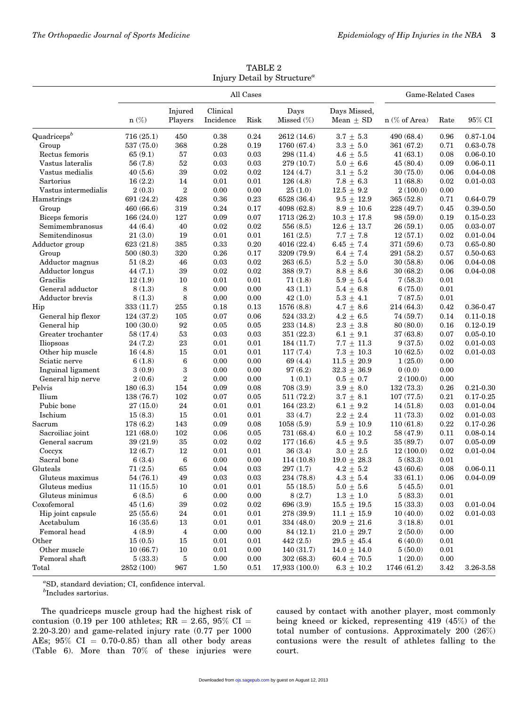TABLE 2 Injury Detail by Structure<sup>a</sup>

|                         | All Cases  |                    |                       |      |                       |                               | Game-Related Cases |      |               |
|-------------------------|------------|--------------------|-----------------------|------|-----------------------|-------------------------------|--------------------|------|---------------|
|                         | $n(\%)$    | Injured<br>Players | Clinical<br>Incidence | Risk | Days<br>Missed $(\%)$ | Days Missed,<br>Mean $\pm$ SD | $n$ (% of Area)    | Rate | 95% CI        |
| Quadriceps <sup>b</sup> | 716(25.1)  | 450                | 0.38                  | 0.24 | 2612(14.6)            | $3.7\,\pm\,5.3$               | 490 (68.4)         | 0.96 | 0.87-1.04     |
| Group                   | 537 (75.0) | 368                | 0.28                  | 0.19 | 1760 (67.4)           | $3.3\,\pm\,5.0$               | 361 (67.2)         | 0.71 | $0.63 - 0.78$ |
| Rectus femoris          | 65(9.1)    | 57                 | 0.03                  | 0.03 | 298 (11.4)            | $4.6\,\pm\,5.5$               | 41(63.1)           | 0.08 | $0.06 - 0.10$ |
| Vastus lateralis        | 56 (7.8)   | 52                 | 0.03                  | 0.03 | 279 (10.7)            | $5.0\,\pm\,6.6$               | 45(80.4)           | 0.09 | $0.06 - 0.11$ |
| Vastus medialis         | 40(5.6)    | 39                 | 0.02                  | 0.02 | 124(4.7)              | $3.1 \pm 5.2$                 | 30(75.0)           | 0.06 | $0.04 - 0.08$ |
| Sartorius               | 16(2.2)    | 14                 | 0.01                  | 0.01 | 126(4.8)              | $7.8 + 6.3$                   | 11(68.8)           | 0.02 | $0.01 - 0.03$ |
| Vastus intermedialis    | 2(0.3)     | $\overline{2}$     | 0.00                  | 0.00 | 25(1.0)               | $12.5\,\pm\,9.2$              | 2(100.0)           | 0.00 |               |
| Hamstrings              | 691 (24.2) | 428                | 0.36                  | 0.23 | 6528 (36.4)           | $9.5\,\pm\,12.9$              | 365(52.8)          | 0.71 | 0.64-0.79     |
| Group                   | 460 (66.6) | 319                | 0.24                  | 0.17 | 4098 (62.8)           | $8.9 \pm 10.6$                | 228 (49.7)         | 0.45 | $0.39 - 0.50$ |
| Biceps femoris          | 166(24.0)  | 127                | 0.09                  | 0.07 | 1713(26.2)            | $10.3 \pm 17.8$               | 98 (59.0)          | 0.19 | $0.15 - 0.23$ |
| Semimembranosus         | 44(6.4)    | 40                 | 0.02                  | 0.02 | 556(8.5)              | $12.6\,\pm\,13.7$             | 26(59.1)           | 0.05 | $0.03 - 0.07$ |
| Semitendinosus          | 21(3.0)    | 19                 | 0.01                  | 0.01 | 161(2.5)              | $7.7~\pm~7.8$                 | 12(57.1)           | 0.02 | $0.01 - 0.04$ |
| Adductor group          | 623 (21.8) | 385                | 0.33                  | 0.20 | 4016 (22.4)           | $6.45 \pm 7.4$                | 371 (59.6)         | 0.73 | $0.65 - 0.80$ |
| Group                   | 500 (80.3) | 320                | 0.26                  | 0.17 | 3209 (79.9)           | 6.4 $\pm$ 7.4                 | 291 (58.2)         | 0.57 | $0.50 - 0.63$ |
| Adductor magnus         | 51(8.2)    | 46                 | 0.03                  | 0.02 | 263(6.5)              | $5.2\,\pm\,5.0$               | 30(58.8)           | 0.06 | $0.04 - 0.08$ |
| Adductor longus         | 44(7.1)    | 39                 | 0.02                  | 0.02 | 388 (9.7)             | $8.8 \pm 8.6$                 | 30(68.2)           | 0.06 | $0.04 - 0.08$ |
| Gracilis                | 12(1.9)    | 10                 | 0.01                  | 0.01 | 71(1.8)               | $5.9$ $\pm$ 5.4               | 7(58.3)            | 0.01 |               |
| General adductor        | 8(1.3)     | 8                  | 0.00                  | 0.00 | 43(1.1)               | $5.4 \pm 6.8$                 | 6(75.0)            | 0.01 |               |
| <b>Adductor brevis</b>  | 8(1.3)     | $\,$ 8 $\,$        | 0.00                  | 0.00 | 42(1.0)               | $5.3~\pm~4.1$                 | 7(87.5)            | 0.01 |               |
| Hip                     | 333 (11.7) | 255                | 0.18                  | 0.13 | 1576 (8.8)            | $4.7 \pm 8.6$                 | 214(64.3)          | 0.42 | $0.36 - 0.47$ |
| General hip flexor      | 124 (37.2) | 105                | 0.07                  | 0.06 | 524(33.2)             | $4.2\,\pm\,6.5$               | 74 (59.7)          | 0.14 | $0.11 - 0.18$ |
| General hip             | 100(30.0)  | 92                 | 0.05                  | 0.05 | 233 (14.8)            | $2.3\,\pm\,3.8$               | 80 (80.0)          | 0.16 | $0.12 - 0.19$ |
| Greater trochanter      | 58 (17.4)  | 53                 | 0.03                  | 0.03 | 351 (22.3)            | $6.1 \pm 9.1$                 | 37(63.8)           | 0.07 | $0.05 - 0.10$ |
| Iliopsoas               | 24(7.2)    | 23                 | 0.01                  | 0.01 | 184(11.7)             | $7.7~\pm~11.3$                | 9(37.5)            | 0.02 | $0.01 - 0.03$ |
| Other hip muscle        | 16(4.8)    | 15                 | 0.01                  | 0.01 | 117(7.4)              | $7.3 \pm 10.3$                | 10(62.5)           | 0.02 | $0.01 - 0.03$ |
| Sciatic nerve           | 6(1.8)     | 6                  | 0.00                  | 0.00 | 69(4.4)               | $11.5 \pm 20.9$               | 1(25.0)            | 0.00 |               |
| Inguinal ligament       | 3(0.9)     | 3                  | 0.00                  | 0.00 | 97(6.2)               | $32.3 \pm 36.9$               | 0(0.0)             | 0.00 |               |
| General hip nerve       | 2(0.6)     | $\overline{2}$     | 0.00                  | 0.00 | 1(0.1)                | $0.5 \pm 0.7$                 | 2(100.0)           | 0.00 |               |
| Pelvis                  | 180(6.3)   | 154                | 0.09                  | 0.08 | 708 (3.9)             | $3.9 \pm 8.0$                 | 132 (73.3)         | 0.26 | $0.21 - 0.30$ |
| Ilium                   | 138 (76.7) | 102                | 0.07                  | 0.05 | 511(72.2)             | $3.7 \pm 8.1$                 | 107(77.5)          | 0.21 | $0.17 - 0.25$ |
| Pubic bone              | 27(15.0)   | 24                 | 0.01                  | 0.01 | 164(23.2)             | $6.1 \pm 9.2$                 | 14(51.8)           | 0.03 | $0.01 - 0.04$ |
| Ischium                 | 15(8.3)    | 15                 | 0.01                  | 0.01 | 33(4.7)               | $2.2\,\pm\,2.4$               | 11(73.3)           | 0.02 | $0.01 - 0.03$ |
| Sacrum                  | 178(6.2)   | 143                | 0.09                  | 0.08 | 1058(5.9)             | $5.9 \pm 10.9$                | 110(61.8)          | 0.22 | $0.17 - 0.26$ |
| Sacroiliac joint        | 121(68.0)  | 102                | 0.06                  | 0.05 | 731 (68.4)            | $6.0 \pm 10.2$                | 58 (47.9)          | 0.11 | $0.08 - 0.14$ |
| General sacrum          | 39(21.9)   | 35                 | 0.02                  | 0.02 | 177(16.6)             | $4.5\,\pm\,9.5$               | 35 (89.7)          | 0.07 | $0.05 - 0.09$ |
| Coccyx                  | 12(6.7)    | 12                 | 0.01                  | 0.01 | 36(3.4)               | $3.0 \pm 2.5$                 | 12(100.0)          | 0.02 | $0.01 - 0.04$ |
| Sacral bone             | 6(3.4)     | 6                  | 0.00                  | 0.00 | 114(10.8)             | $19.0 \pm 28.3$               | 5(83.3)            | 0.01 |               |
| Gluteals                | 71(2.5)    | 65                 | 0.04                  | 0.03 | 297(1.7)              | $4.2\,\pm\,5.2$               | 43(60.6)           | 0.08 | $0.06 - 0.11$ |
| Gluteus maximus         | 54(76.1)   | 49                 | 0.03                  | 0.03 | 234 (78.8)            | $4.3~\pm~5.4$                 | 33 (61.1)          | 0.06 | $0.04 - 0.09$ |
| Gluteus medius          | 11(15.5)   | 10                 | 0.01                  | 0.01 | 55(18.5)              | $5.0 \pm 5.6$                 | 5(45.5)            | 0.01 |               |
| Gluteus minimus         | 6(8.5)     | 6                  | 0.00                  | 0.00 | 8(2.7)                | $1.3\,\pm\,1.0$               | 5(83.3)            | 0.01 |               |
| Coxofemoral             | 45(1.6)    | 39                 | 0.02                  | 0.02 | 696 (3.9)             | $15.5~\pm~19.5$               | 15(33.3)           | 0.03 | $0.01 - 0.04$ |
| Hip joint capsule       | 25(55.6)   | 24                 | 0.01                  | 0.01 | 278 (39.9)            | $11.1 + 15.9$                 | 10(40.0)           | 0.02 | $0.01 - 0.03$ |
| Acetabulum              | 16(35.6)   | 13                 | 0.01                  | 0.01 | 334 (48.0)            | $20.9 \pm 21.6$               | 3(18.8)            | 0.01 |               |
| Femoral head            | 4(8.9)     | 4                  | 0.00                  | 0.00 | 84 (12.1)             | $21.0 \pm 29.7$               | 2(50.0)            | 0.00 |               |
| Other                   | 15(0.5)    | 15                 | 0.01                  | 0.01 | 442(2.5)              | $29.5 \pm 45.4$               | 6(40.0)            | 0.01 |               |
| Other muscle            | 10(66.7)   | 10                 | 0.01                  | 0.00 | 140 (31.7)            | $14.0 \pm 14.0$               | 5(50.0)            | 0.01 |               |
| Femoral shaft           | 5(33.3)    | 5                  | 0.00                  | 0.00 | 302(68.3)             | $60.4 \pm 70.5$               | 1(20.0)            | 0.00 |               |
| Total                   | 2852 (100) | 967                | 1.50                  | 0.51 | 17,933 (100.0)        | $6.3 \pm 10.2$                | 1746 (61.2)        | 3.42 | 3.26-3.58     |

a SD, standard deviation; CI, confidence interval.

b Includes sartorius.

The quadriceps muscle group had the highest risk of contusion (0.19 per 100 athletes; RR = 2.65, 95% CI = 2.20-3.20) and game-related injury rate (0.77 per 1000 AEs;  $95\%$  CI = 0.70-0.85) than all other body areas (Table 6). More than 70% of these injuries were

caused by contact with another player, most commonly being kneed or kicked, representing 419 (45%) of the total number of contusions. Approximately 200 (26%) contusions were the result of athletes falling to the court.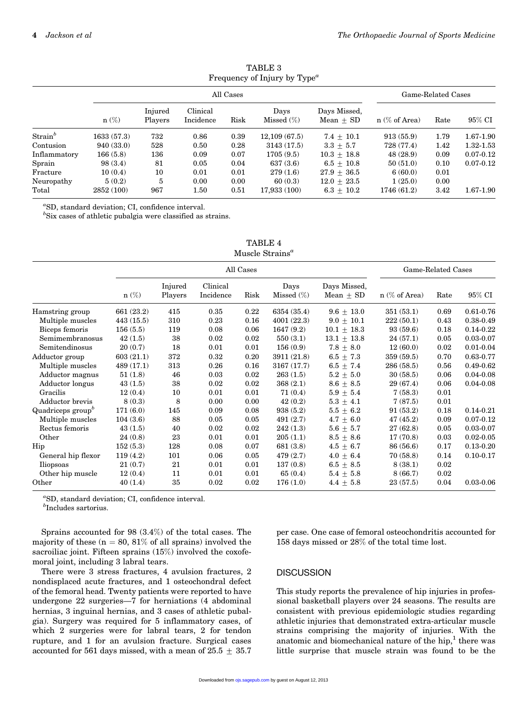|             |                    |                       |      | Frequency of Injury by Type" |                             |                 |      |               |
|-------------|--------------------|-----------------------|------|------------------------------|-----------------------------|-----------------|------|---------------|
|             |                    | Game-Related Cases    |      |                              |                             |                 |      |               |
| $n(\%)$     | Injured<br>Players | Clinical<br>Incidence | Risk | Days<br>Missed $(\%)$        | Days Missed,<br>$Mean + SD$ | $n$ (% of Area) | Rate | 95% CI        |
| 1633 (57.3) | 732                | 0.86                  | 0.39 | 12,109(67.5)                 | $7.4 + 10.1$                | 913(55.9)       | 1.79 | 1.67-1.90     |
| 940(33.0)   | 528                | 0.50                  | 0.28 | 3143(17.5)                   | $3.3 + 5.7$                 | 728 (77.4)      | 1.42 | 1.32-1.53     |
| 166(5.8)    | 136                | 0.09                  | 0.07 | 1705(9.5)                    | $10.3 + 18.8$               | 48(28.9)        | 0.09 | $0.07 - 0.12$ |
| 98(3.4)     | 81                 | 0.05                  | 0.04 | 637(3.6)                     | $6.5 + 10.8$                | 50(51.0)        | 0.10 | $0.07 - 0.12$ |
| 10(0.4)     | 10                 | 0.01                  | 0.01 | 279(1.6)                     | $27.9 + 36.5$               | 6(60.0)         | 0.01 |               |
| 5(0.2)      | 5                  | 0.00                  | 0.00 | 60(0.3)                      | $12.0 + 23.5$               | 1(25.0)         | 0.00 |               |
| 2852 (100)  | 967                | 1.50                  | 0.51 | 17,933 (100)                 | $6.3 + 10.2$                | 1746 (61.2)     | 3.42 | 1.67-1.90     |
|             |                    |                       |      | All Cases                    |                             |                 |      |               |

TABLE 3 Frequency of Injury by  $Type<sup>a</sup>$ 

a SD, standard deviation; CI, confidence interval.

 ${}^{b}$ Six cases of athletic pubalgia were classified as strains.

|                               |            |                    |                       |      | Muscle Strains <sup>"</sup> |                             |                 |      |               |
|-------------------------------|------------|--------------------|-----------------------|------|-----------------------------|-----------------------------|-----------------|------|---------------|
|                               |            | Game-Related Cases |                       |      |                             |                             |                 |      |               |
|                               | $n(\%)$    | Injured<br>Players | Clinical<br>Incidence | Risk | Days<br>Missed $(\%)$       | Days Missed,<br>$Mean + SD$ | $n$ (% of Area) | Rate | 95% CI        |
| Hamstring group               | 661 (23.2) | 415                | 0.35                  | 0.22 | 6354 (35.4)                 | $9.6 \pm 13.0$              | 351(53.1)       | 0.69 | $0.61 - 0.76$ |
| Multiple muscles              | 443(15.5)  | 310                | 0.23                  | 0.16 | 4001(22.3)                  | $9.0 \pm 10.1$              | 222(50.1)       | 0.43 | $0.38 - 0.49$ |
| Biceps femoris                | 156(5.5)   | 119                | 0.08                  | 0.06 | 1647(9.2)                   | $10.1 + 18.3$               | 93(59.6)        | 0.18 | $0.14 - 0.22$ |
| Semimembranosus               | 42(1.5)    | 38                 | 0.02                  | 0.02 | 550(3.1)                    | $13.1 \pm 13.8$             | 24(57.1)        | 0.05 | $0.03 - 0.07$ |
| Semitendinosus                | 20(0.7)    | 18                 | 0.01                  | 0.01 | 156(0.9)                    | $7.8 \pm 8.0$               | 12(60.0)        | 0.02 | $0.01 - 0.04$ |
| Adductor group                | 603(21.1)  | 372                | 0.32                  | 0.20 | 3911 (21.8)                 | $6.5 \pm 7.3$               | 359(59.5)       | 0.70 | 0.63-0.77     |
| Multiple muscles              | 489 (17.1) | 313                | 0.26                  | 0.16 | 3167(17.7)                  | $6.5 \pm 7.4$               | 286(58.5)       | 0.56 | 0.49-0.62     |
| Adductor magnus               | 51(1.8)    | 46                 | 0.03                  | 0.02 | 263(1.5)                    | $5.2\,\pm\,5.0$             | 30(58.5)        | 0.06 | $0.04 - 0.08$ |
| Adductor longus               | 43(1.5)    | 38                 | 0.02                  | 0.02 | 368(2.1)                    | $8.6 \pm 8.5$               | 29 (67.4)       | 0.06 | $0.04 - 0.08$ |
| Gracilis                      | 12(0.4)    | 10                 | 0.01                  | 0.01 | 71(0.4)                     | $5.9\,\pm\,5.4$             | 7(58.3)         | 0.01 |               |
| Adductor brevis               | 8(0.3)     | 8                  | 0.00                  | 0.00 | 42(0.2)                     | $5.3~\pm~4.1$               | 7(87.5)         | 0.01 |               |
| Quadriceps group <sup>b</sup> | 171(6.0)   | 145                | 0.09                  | 0.08 | 938(5.2)                    | $5.5 + 6.2$                 | 91(53.2)        | 0.18 | $0.14 - 0.21$ |
| Multiple muscles              | 104(3.6)   | 88                 | 0.05                  | 0.05 | 491(2.7)                    | $4.7\,\pm\,6.0$             | 47(45.2)        | 0.09 | $0.07 - 0.12$ |
| Rectus femoris                | 43(1.5)    | 40                 | 0.02                  | 0.02 | 242(1.3)                    | $5.6 \pm 5.7$               | 27(62.8)        | 0.05 | $0.03 - 0.07$ |
| Other                         | 24(0.8)    | 23                 | 0.01                  | 0.01 | 205(1.1)                    | $8.5 \pm 8.6$               | 17(70.8)        | 0.03 | $0.02 - 0.05$ |
| Hip                           | 152(5.3)   | 128                | 0.08                  | 0.07 | 681 (3.8)                   | $4.5 \pm 6.7$               | 86 (56.6)       | 0.17 | $0.13 - 0.20$ |
| General hip flexor            | 119(4.2)   | 101                | 0.06                  | 0.05 | 479(2.7)                    | $4.0 \pm 6.4$               | 70(58.8)        | 0.14 | $0.10 - 0.17$ |
| Iliopsoas                     | 21(0.7)    | 21                 | 0.01                  | 0.01 | 137(0.8)                    | $6.5\,\pm\,8.5$             | 8(38.1)         | 0.02 |               |
| Other hip muscle              | 12(0.4)    | 11                 | 0.01                  | 0.01 | 65(0.4)                     | $5.4\,\pm\,5.8$             | 8(66.7)         | 0.02 |               |
| Other                         | 40(1.4)    | 35                 | 0.02                  | 0.02 | 176(1.0)                    | $4.4 \pm 5.8$               | 23(57.5)        | 0.04 | $0.03 - 0.06$ |

TABLE 4  $\frac{1}{\sqrt{1-\frac{1}{\sqrt{1-\frac{1}{\sqrt{1-\frac{1}{\sqrt{1-\frac{1}{\sqrt{1-\frac{1}{\sqrt{1-\frac{1}{\sqrt{1-\frac{1}{\sqrt{1-\frac{1}{\sqrt{1-\frac{1}{\sqrt{1-\frac{1}{\sqrt{1-\frac{1}{\sqrt{1-\frac{1}{\sqrt{1-\frac{1}{\sqrt{1-\frac{1}{\sqrt{1-\frac{1}{\sqrt{1-\frac{1}{\sqrt{1-\frac{1}{\sqrt{1-\frac{1}{\sqrt{1-\frac{1}{\sqrt{1-\frac{1}{\sqrt{1-\frac{1}{\sqrt{1-\frac{1}{\sqrt{1-\frac{1}{\sqrt{1-\frac{1$ 

a SD, standard deviation; CI, confidence interval.

<sup>b</sup>Includes sartorius.

Sprains accounted for 98 (3.4%) of the total cases. The majority of these  $(n = 80, 81\%$  of all sprains) involved the sacroiliac joint. Fifteen sprains (15%) involved the coxofemoral joint, including 3 labral tears.

There were 3 stress fractures, 4 avulsion fractures, 2 nondisplaced acute fractures, and 1 osteochondral defect of the femoral head. Twenty patients were reported to have undergone 22 surgeries—7 for herniations (4 abdominal hernias, 3 inguinal hernias, and 3 cases of athletic pubalgia). Surgery was required for 5 inflammatory cases, of which 2 surgeries were for labral tears, 2 for tendon rupture, and 1 for an avulsion fracture. Surgical cases accounted for 561 days missed, with a mean of  $25.5 \pm 35.7$  per case. One case of femoral osteochondritis accounted for 158 days missed or 28% of the total time lost.

#### **DISCUSSION**

This study reports the prevalence of hip injuries in professional basketball players over 24 seasons. The results are consistent with previous epidemiologic studies regarding athletic injuries that demonstrated extra-articular muscle strains comprising the majority of injuries. With the anatomic and biomechanical nature of the hip, $<sup>1</sup>$  there was</sup> little surprise that muscle strain was found to be the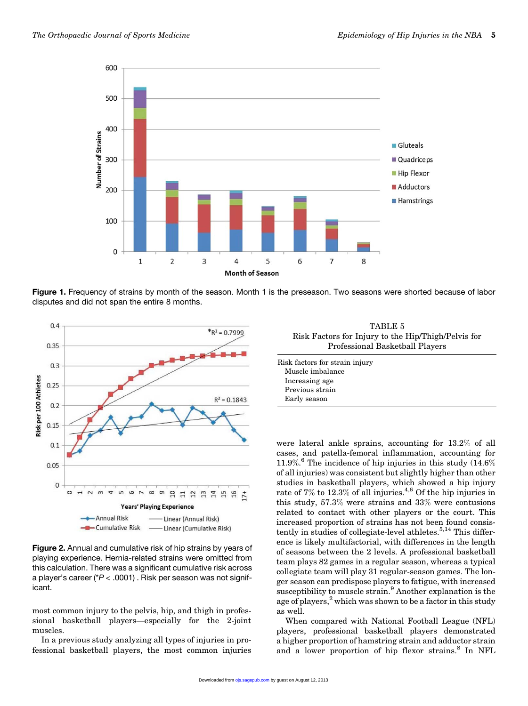

Figure 1. Frequency of strains by month of the season. Month 1 is the preseason. Two seasons were shorted because of labor disputes and did not span the entire 8 months.



Figure 2. Annual and cumulative risk of hip strains by years of playing experience. Hernia-related strains were omitted from this calculation. There was a significant cumulative risk across a player's career ( $P < .0001$ ). Risk per season was not significant.

most common injury to the pelvis, hip, and thigh in professional basketball players—especially for the 2-joint muscles.

In a previous study analyzing all types of injuries in professional basketball players, the most common injuries

TABLE 5 Risk Factors for Injury to the Hip/Thigh/Pelvis for Professional Basketball Players

Risk factors for strain injury Muscle imbalance Increasing age Previous strain Early season

were lateral ankle sprains, accounting for 13.2% of all cases, and patella-femoral inflammation, accounting for 11.9%. <sup>6</sup> The incidence of hip injuries in this study (14.6% of all injuries) was consistent but slightly higher than other studies in basketball players, which showed a hip injury rate of  $7\%$  to  $12.3\%$  of all injuries.<sup>4,6</sup> Of the hip injuries in this study, 57.3% were strains and 33% were contusions related to contact with other players or the court. This increased proportion of strains has not been found consistently in studies of collegiate-level athletes.<sup>5,14</sup> This difference is likely multifactorial, with differences in the length of seasons between the 2 levels. A professional basketball team plays 82 games in a regular season, whereas a typical collegiate team will play 31 regular-season games. The longer season can predispose players to fatigue, with increased susceptibility to muscle strain.<sup>9</sup> Another explanation is the age of players, $2$  which was shown to be a factor in this study as well.

When compared with National Football League (NFL) players, professional basketball players demonstrated a higher proportion of hamstring strain and adductor strain and a lower proportion of hip flexor strains.<sup>8</sup> In NFL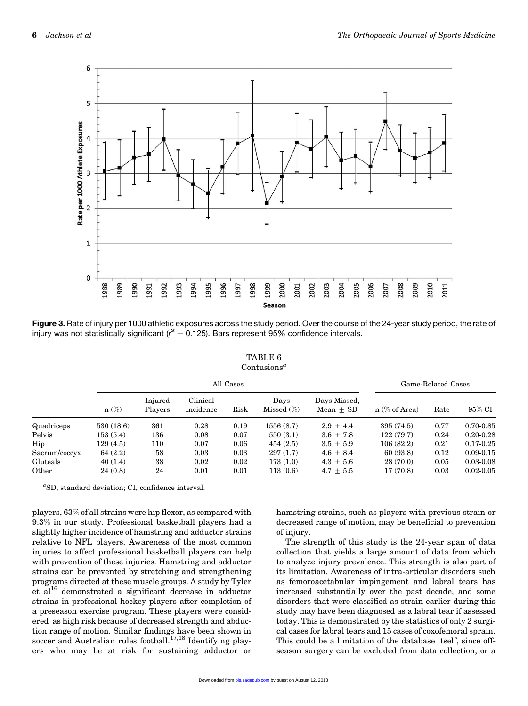

Figure 3. Rate of injury per 1000 athletic exposures across the study period. Over the course of the 24-year study period, the rate of injury was not statistically significant ( $t^2$  = 0.125). Bars represent 95% confidence intervals.

|               |           |                    |                       |      | $\rm{Continuous}^a$   |                             |                        |      |               |
|---------------|-----------|--------------------|-----------------------|------|-----------------------|-----------------------------|------------------------|------|---------------|
|               |           |                    | Game-Related Cases    |      |                       |                             |                        |      |               |
|               | $n(\%)$   | Injured<br>Players | Clinical<br>Incidence | Risk | Days<br>Missed $(\%)$ | Days Missed,<br>$Mean + SD$ | $n \ (\% \ of \ Area)$ | Rate | 95% CI        |
| Quadriceps    | 530(18.6) | 361                | 0.28                  | 0.19 | 1556(8.7)             | $2.9 + 4.4$                 | 395 (74.5)             | 0.77 | $0.70 - 0.85$ |
| Pelvis        | 153(5.4)  | 136                | 0.08                  | 0.07 | 550(3.1)              | $3.6 + 7.8$                 | 122(79.7)              | 0.24 | $0.20 - 0.28$ |
| Hip           | 129(4.5)  | 110                | 0.07                  | 0.06 | 454(2.5)              | $3.5 + 5.9$                 | 106(82.2)              | 0.21 | $0.17 - 0.25$ |
| Sacrum/coccyx | 64(2.2)   | 58                 | 0.03                  | 0.03 | 297(1.7)              | $4.6 + 8.4$                 | 60(93.8)               | 0.12 | $0.09 - 0.15$ |
| Gluteals      | 40(1.4)   | 38                 | 0.02                  | 0.02 | 173(1.0)              | $4.3 + 5.6$                 | 28(70.0)               | 0.05 | $0.03 - 0.08$ |
| Other         | 24(0.8)   | 24                 | 0.01                  | 0.01 | 113(0.6)              | $4.7 + 5.5$                 | 17(70.8)               | 0.03 | $0.02 - 0.05$ |

TABLE 6  $\text{Continuous}^a$ 

a SD, standard deviation; CI, confidence interval.

players, 63% of all strains were hip flexor, as compared with 9.3% in our study. Professional basketball players had a slightly higher incidence of hamstring and adductor strains relative to NFL players. Awareness of the most common injuries to affect professional basketball players can help with prevention of these injuries. Hamstring and adductor strains can be prevented by stretching and strengthening programs directed at these muscle groups. A study by Tyler et  $al^{16}$  demonstrated a significant decrease in adductor strains in professional hockey players after completion of a preseason exercise program. These players were considered as high risk because of decreased strength and abduction range of motion. Similar findings have been shown in soccer and Australian rules football.<sup>17,18</sup> Identifying players who may be at risk for sustaining adductor or

hamstring strains, such as players with previous strain or decreased range of motion, may be beneficial to prevention of injury.

The strength of this study is the 24-year span of data collection that yields a large amount of data from which to analyze injury prevalence. This strength is also part of its limitation. Awareness of intra-articular disorders such as femoroacetabular impingement and labral tears has increased substantially over the past decade, and some disorders that were classified as strain earlier during this study may have been diagnosed as a labral tear if assessed today. This is demonstrated by the statistics of only 2 surgical cases for labral tears and 15 cases of coxofemoral sprain. This could be a limitation of the database itself, since offseason surgery can be excluded from data collection, or a